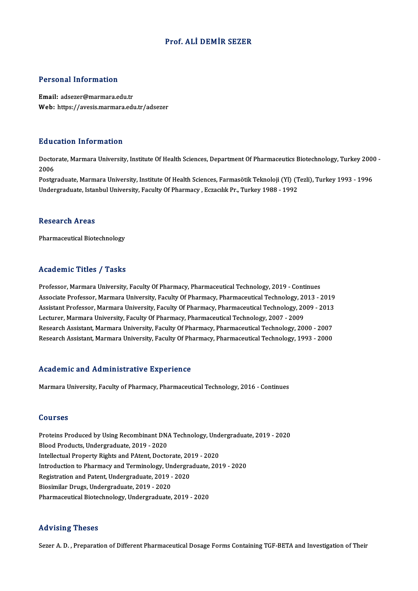### Prof. ALİDEMİR SEZER

#### Personal Information

Email: adsezer@marmara.edu.tr Web: https://avesis.marmara.edu.tr/adsezer

#### Education Information

**Education Information**<br>Doctorate, Marmara University, Institute Of Health Sciences, Department Of Pharmaceutics Biotechnology, Turkey 2000 -<br>2006 Bata<br>Docto<br>2006 Doctorate, Marmara University, Institute Of Health Sciences, Department Of Pharmaceutics Biotechnology, Turkey 200<br>2006<br>Postgraduate, Marmara University, Institute Of Health Sciences, Farmasötik Teknoloji (Yl) (Tezli), Tur

2006<br>Postgraduate, Marmara University, Institute Of Health Sciences, Farmasötik Teknoloji (Yl) (T<br>Undergraduate, Istanbul University, Faculty Of Pharmacy , Eczacılık Pr., Turkey 1988 - 1992 Undergraduate, Istanbul University, Faculty Of Pharmacy , Eczacılık Pr., Turkey 1988 - 1992<br>Research Areas

Pharmaceutical Biotechnology

#### Academic Titles / Tasks

Academic Titles / Tasks<br>Professor, Marmara University, Faculty Of Pharmacy, Pharmaceutical Technology, 2019 - Continues<br>Associate Professor, Marmara University, Faculty Of Pharmacy, Pharmaceutical Technology, 2013 AssociateMicroforcettery Professor, Faculty Of Pharmacy, Pharmaceutical Technology, 2019 - Continues<br>Associate Professor, Marmara University, Faculty Of Pharmacy, Pharmaceutical Technology, 2013 - 2019<br>Assistant Professor, Professor, Marmara University, Faculty Of Pharmacy, Pharmaceutical Technology, 2019 - Continues<br>Associate Professor, Marmara University, Faculty Of Pharmacy, Pharmaceutical Technology, 2013 - 2019<br>Assistant Professor, Marm Associate Professor, Marmara University, Faculty Of Pharmacy, Pharmaceutical Technology, 20<br>Assistant Professor, Marmara University, Faculty Of Pharmacy, Pharmaceutical Technology, 20<br>Lecturer, Marmara University, Faculty Assistant Professor, Marmara University, Faculty Of Pharmacy, Pharmaceutical Technology, 2009 - 2013<br>Lecturer, Marmara University, Faculty Of Pharmacy, Pharmaceutical Technology, 2007 - 2009<br>Research Assistant, Marmara Uni Lecturer, Marmara University, Faculty Of Pharmacy, Pharmaceutical Technology, 2007 - 2009<br>Research Assistant, Marmara University, Faculty Of Pharmacy, Pharmaceutical Technology, 2000 - 2007<br>Research Assistant, Marmara Univ Research Assistant, Marmara University, Faculty Of Pharmacy, Pharmaceutical Technology, 1993 - 2000<br>Academic and Administrative Experience

Marmara University, Faculty of Pharmacy, Pharmaceutical Technology, 2016 - Continues

#### Courses

Courses<br>Proteins Produced by Using Recombinant DNA Technology, Undergraduate, 2019 - 2020<br>Plaed Products Undergraduate, 2019 - 2020 Blood<br>Proteins Produced by Using Recombinant DN.<br>Blood Products, Undergraduate, 2019 - 2020<br>Intellectual Property Bights and BAtant, Deste Proteins Produced by Using Recombinant DNA Technology, Und<br>Blood Products, Undergraduate, 2019 - 2020<br>Intellectual Property Rights and PAtent, Doctorate, 2019 - 2020<br>Introduction to Pharmagy and Terminology, Undergraduate, Blood Products, Undergraduate, 2019 - 2020<br>Intellectual Property Rights and PAtent, Doctorate, 2019 - 2020<br>Introduction to Pharmacy and Terminology, Undergraduate, 2019 - 2020<br>Registration and Patent, Undergraduate, 2019 -Intellectual Property Rights and PAtent, Doctorate, 20<br>Introduction to Pharmacy and Terminology, Undergra<br>Registration and Patent, Undergraduate, 2019 - 2020<br>Piesimilar Drugs, Undergraduate, 2019, 2020 Biosimilar Drugs, Undergraduate, 2019 - 2020 Pharmaceutical Biotechnology, Undergraduate, 2019 - 2020

#### Advising Theses

Sezer A.D., Preparation of Different Pharmaceutical Dosage Forms Containing TGF-BETA and Investigation of Their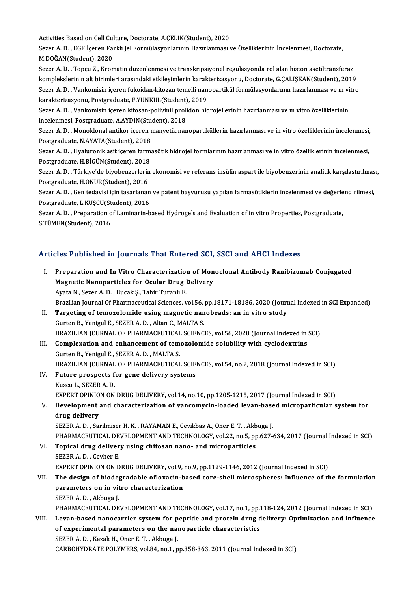Activities Based on Cell Culture, Doctorate, A.ÇELİK(Student), 2020

Activities Based on Cell Culture, Doctorate, A.ÇELİK(Student), 2020<br>Sezer A. D. , EGF İçeren Farklı Jel Formülasyonlarının Hazırlanması ve Özelliklerinin İncelenmesi, Doctorate,<br>M.DOČAN(Student), 2020 Activities Based on Cell Cul<br>Sezer A. D. , EGF İçeren Fa<br>M.DOĞAN(Student), 2020<br>Sezer A. D. . Teneu Z.. Kren Sezer A. D. , EGF İçeren Farklı Jel Formülasyonlarının Hazırlanması ve Özelliklerinin İncelenmesi, Doctorate,<br>M.DOĞAN(Student), 2020<br>Sezer A. D. , Topçu Z., Kromatin düzenlenmesi ve transkripsiyonel regülasyonda rol alan h

M.DOĞAN(Student), 2020<br>Sezer A. D. , Topçu Z., Kromatin düzenlenmesi ve transkripsiyonel regülasyonda rol alan histon asetiltransferaz<br>komplekslerinin alt birimleri arasındaki etkileşimlerin karakterizasyonu, Doctorate, G. Sezer A. D. , Topçu Z., Kromatin düzenlenmesi ve transkripsiyonel regülasyonda rol alan histon asetiltransferaz<br>komplekslerinin alt birimleri arasındaki etkileşimlerin karakterizasyonu, Doctorate, G.ÇALIŞKAN(Student), 2019 komplekslerinin alt birimleri arasındaki etkileşimlerin karak<br>Sezer A. D. , Vankomisin içeren fukoidan-kitozan temelli nan<br>karakterizasyonu, Postgraduate, F.YÜNKÜL(Student), 2019<br>Sezer A. D. , Vankomisin isoren kitosan pol karakterizasyonu, Postgraduate, F.YÜNKÜL(Student), 2019

Sezer A. D. , Vankomisin içeren fukoidan-kitozan temelli nanopartikül formülasyonlarının hazırlanması ve ın vitro<br>karakterizasyonu, Postgraduate, F.YÜNKÜL(Student), 2019<br>Sezer A. D. , Vankomisin içeren kitosan-polivinil pr Sezer A. D. , Vankomisin içeren kitosan-polivinil prolidon hidrojellerinin hazırlanması ve ın vitro özelliklerinin<br>incelenmesi, Postgraduate, A.AYDIN(Student), 2018<br>Sezer A. D. , Monoklonal antikor içeren manyetik nanopart

incelenmesi, Postgraduate, A.AYDIN(Stucker<br>Sezer A. D. , Monoklonal antikor içeren r<br>Postgraduate, N.AYATA(Student), 2018<br>Sezer A. D. , Hypluponik esit isoren forme Sezer A. D. , Monoklonal antikor içeren manyetik nanopartiküllerin hazırlanması ve in vitro özelliklerinin incelenmesi,<br>Postgraduate, N.AYATA(Student), 2018<br>Sezer A. D. , Hyaluronik asit içeren farmasötik hidrojel formları

Postgraduate, N.AYATA(Student), 2018<br>Sezer A. D. , Hyaluronik asit içeren farm<br>Postgraduate, H.BİGÜN(Student), 2018<br>Sezer A. D. , Türkiye'de biyebenzerlerin Sezer A. D. , Hyaluronik asit içeren farmasötik hidrojel formlarının hazırlanması ve in vitro özelliklerinin incelenmesi,<br>Postgraduate, H.BİGÜN(Student), 2018<br>Sezer A. D. , Türkiye'de biyobenzerlerin ekonomisi ve referans

Postgraduate, H.BİGÜN(Student), 2018<br>Sezer A. D. , Türkiye'de biyobenzerlerin<br>Postgraduate, H.ONUR(Student), 2016<br>Sezer A. D. . Cen tedevisi isin tecerlenar Sezer A. D. , Türkiye'de biyobenzerlerin ekonomisi ve referans insülin aspart ile biyobenzerinin analitik karşılaştırılmas<br>Postgraduate, H.ONUR(Student), 2016<br>Sezer A. D. , Gen tedavisi için tasarlanan ve patent başvurusu

Postgraduate, H.ONUR(Student), 2016<br>Sezer A. D. , Gen tedavisi için tasarlanan ve patent başvurusu yapılan farmasötiklerin incelenmesi ve değerlendirilmesi,<br>Postgraduate, L.KUŞCU(Student), 2016 Sezer A. D. , Gen tedavisi için tasarlanan ve patent başvurusu yapılan farmasötiklerin incelenmesi ve değerle<br>Postgraduate, L.KUŞCU(Student), 2016<br>Sezer A. D. , Preparation of Laminarin-based Hydrogels and Evaluation of in

Postgraduate, L.KUŞCU(St<br>Sezer A. D. , Preparation o<br>S.TÜMEN(Student), 2016

# s.10MEN(student), 2016<br>Articles Published in Journals That Entered SCI, SSCI and AHCI Indexes

| Articles Published in Journals That Entered SCI, SSCI and AHCI Indexes |                                                                                                                                                   |  |
|------------------------------------------------------------------------|---------------------------------------------------------------------------------------------------------------------------------------------------|--|
| L.                                                                     | Preparation and In Vitro Characterization of Monoclonal Antibody Ranibizumab Conjugated<br><b>Magnetic Nanoparticles for Ocular Drug Delivery</b> |  |
|                                                                        | Ayata N., Sezer A. D., Bucak Ş., Tahir Turanlı E.                                                                                                 |  |
|                                                                        | Brazilian Journal Of Pharmaceutical Sciences, vol.56, pp.18171-18186, 2020 (Journal Indexed in SCI Expanded)                                      |  |
| II.                                                                    | Targeting of temozolomide using magnetic nanobeads: an in vitro study                                                                             |  |
|                                                                        | Gurten B., Yenigul E., SEZER A. D., Altan C., MALTA S.                                                                                            |  |
|                                                                        | BRAZILIAN JOURNAL OF PHARMACEUTICAL SCIENCES, vol.56, 2020 (Journal Indexed in SCI)                                                               |  |
| III.                                                                   | Complexation and enhancement of temozolomide solubility with cyclodextrins                                                                        |  |
|                                                                        | Gurten B., Yenigul E., SEZER A. D., MALTA S.                                                                                                      |  |
|                                                                        | BRAZILIAN JOURNAL OF PHARMACEUTICAL SCIENCES, vol.54, no.2, 2018 (Journal Indexed in SCI)                                                         |  |
| IV.                                                                    | Future prospects for gene delivery systems                                                                                                        |  |
|                                                                        | Kuscu L., SEZER A. D.                                                                                                                             |  |
|                                                                        | EXPERT OPINION ON DRUG DELIVERY, vol.14, no.10, pp.1205-1215, 2017 (Journal Indexed in SCI)                                                       |  |
| V.                                                                     | Development and characterization of vancomycin-loaded levan-based microparticular system for                                                      |  |
|                                                                        | drug delivery                                                                                                                                     |  |
|                                                                        | SEZER A. D., Sarilmiser H. K., RAYAMAN E., Cevikbas A., Oner E. T., Akbuga J.                                                                     |  |
|                                                                        | PHARMACEUTICAL DEVELOPMENT AND TECHNOLOGY, vol.22, no.5, pp.627-634, 2017 (Journal Indexed in SCI)                                                |  |
| VI.                                                                    | Topical drug delivery using chitosan nano- and microparticles                                                                                     |  |
|                                                                        | SEZER A D , Cevher E                                                                                                                              |  |
|                                                                        | EXPERT OPINION ON DRUG DELIVERY, vol.9, no.9, pp.1129-1146, 2012 (Journal Indexed in SCI)                                                         |  |
| VII.                                                                   | The design of biodegradable ofloxacin-based core-shell microspheres: Influence of the formulation                                                 |  |
|                                                                        | parameters on in vitro characterization                                                                                                           |  |
|                                                                        | SEZER A D , Akbuga J                                                                                                                              |  |
|                                                                        | PHARMACEUTICAL DEVELOPMENT AND TECHNOLOGY, vol.17, no.1, pp.118-124, 2012 (Journal Indexed in SCI)                                                |  |
| VIII.                                                                  | Levan-based nanocarrier system for peptide and protein drug delivery: Optimization and influence                                                  |  |
|                                                                        | of experimental parameters on the nanoparticle characteristics                                                                                    |  |
|                                                                        | SEZER A. D., Kazak H., Oner E. T., Akbuga J.                                                                                                      |  |
|                                                                        | CARBOHYDRATE POLYMERS, vol.84, no.1, pp.358-363, 2011 (Journal Indexed in SCI)                                                                    |  |
|                                                                        |                                                                                                                                                   |  |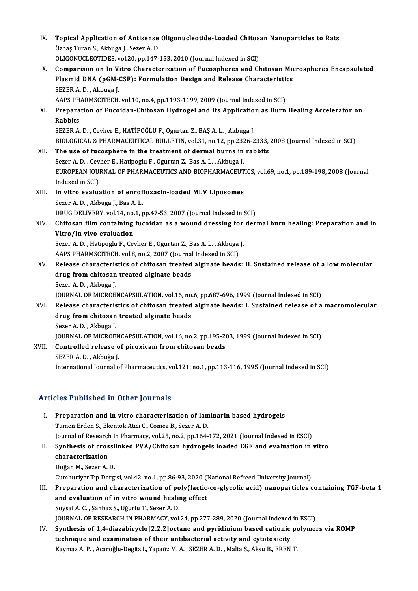| IX.                                         | Topical Application of Antisense Oligonucleotide-Loaded Chitosan Nanoparticles to Rats<br>Özbaş Turan S., Akbuga J., Sezer A. D. |  |
|---------------------------------------------|----------------------------------------------------------------------------------------------------------------------------------|--|
|                                             | OLIGONUCLEOTIDES, vol.20, pp.147-153, 2010 (Journal Indexed in SCI)                                                              |  |
| X.                                          | Comparison on In Vitro Characterization of Fucospheres and Chitosan Microspheres Encapsulated                                    |  |
|                                             | Plasmid DNA (pGM-CSF): Formulation Design and Release Characteristics                                                            |  |
|                                             | SEZER A.D., Akbuga J.                                                                                                            |  |
|                                             | AAPS PHARMSCITECH, vol.10, no.4, pp.1193-1199, 2009 (Journal Indexed in SCI)                                                     |  |
| XI.                                         | Preparation of Fucoidan-Chitosan Hydrogel and Its Application as Burn Healing Accelerator on                                     |  |
|                                             | Rabbits                                                                                                                          |  |
|                                             | SEZER A. D., Cevher E., HATİPOĞLU F., Ogurtan Z., BAŞ A. L., Akbuga J.                                                           |  |
|                                             | BIOLOGICAL & PHARMACEUTICAL BULLETIN, vol.31, no.12, pp.2326-2333, 2008 (Journal Indexed in SCI)                                 |  |
| XII.                                        | The use of fucosphere in the treatment of dermal burns in rabbits                                                                |  |
|                                             | Sezer A. D., Cevher E., Hatipoglu F., Ogurtan Z., Bas A. L., Akbuga J.                                                           |  |
|                                             | EUROPEAN JOURNAL OF PHARMACEUTICS AND BIOPHARMACEUTICS, vol.69, no.1, pp.189-198, 2008 (Journal                                  |  |
|                                             | Indexed in SCI)                                                                                                                  |  |
| XIII.                                       | In vitro evaluation of enrofloxacin-loaded MLV Liposomes                                                                         |  |
|                                             | Sezer A.D., Akbuga J., Bas A.L.                                                                                                  |  |
|                                             | DRUG DELIVERY, vol.14, no.1, pp.47-53, 2007 (Journal Indexed in SCI)                                                             |  |
| XIV.                                        | Chitosan film containing fucoidan as a wound dressing for dermal burn healing: Preparation and in                                |  |
|                                             | Vitro/In vivo evaluation                                                                                                         |  |
|                                             | Sezer A. D., Hatipoglu F., Cevher E., Ogurtan Z., Bas A. L., Akbuga J.                                                           |  |
|                                             | AAPS PHARMSCITECH, vol.8, no.2, 2007 (Journal Indexed in SCI)                                                                    |  |
| XV.                                         | Release characteristics of chitosan treated alginate beads: II. Sustained release of a low molecular                             |  |
|                                             | drug from chitosan treated alginate beads                                                                                        |  |
|                                             | Sezer A D., Akbuga J.                                                                                                            |  |
|                                             | JOURNAL OF MICROENCAPSULATION, vol.16, no.6, pp.687-696, 1999 (Journal Indexed in SCI)                                           |  |
| XVI.                                        | Release characteristics of chitosan treated alginate beads: I. Sustained release of a macromolecular                             |  |
|                                             | drug from chitosan treated alginate beads                                                                                        |  |
|                                             | Sezer A D , Akbuga J                                                                                                             |  |
|                                             | JOURNAL OF MICROENCAPSULATION, vol.16, no.2, pp.195-203, 1999 (Journal Indexed in SCI)                                           |  |
| XVII.                                       | Controlled release of piroxicam from chitosan beads                                                                              |  |
|                                             | SEZER A D., Akbuğa J.                                                                                                            |  |
|                                             | International Journal of Pharmaceutics, vol.121, no.1, pp.113-116, 1995 (Journal Indexed in SCI)                                 |  |
|                                             |                                                                                                                                  |  |
| <b>Articles Published in Other Journals</b> |                                                                                                                                  |  |

|      | Articles Published in Other Journals                                                                  |
|------|-------------------------------------------------------------------------------------------------------|
| L.   | Preparation and in vitro characterization of laminarin based hydrogels                                |
|      | Tümen Erden S., Ekentok Atıcı C., Cömez B., Sezer A. D.                                               |
|      | Journal of Research in Pharmacy, vol.25, no.2, pp.164-172, 2021 (Journal Indexed in ESCI)             |
| Н.   | Synthesis of crosslinked PVA/Chitosan hydrogels loaded EGF and evaluation in vitro                    |
|      | characterization                                                                                      |
|      | Doğan M., Sezer A.D.                                                                                  |
|      | Cumhuriyet Tip Dergisi, vol.42, no.1, pp.86-93, 2020 (National Refreed University Journal)            |
| III. | Preparation and characterization of poly(lactic-co-glycolic acid) nanoparticles containing TGF-beta 1 |
|      | and evaluation of in vitro wound healing effect                                                       |
|      | Soysal A. C., Şahbaz S., Uğurlu T., Sezer A. D.                                                       |
|      | JOURNAL OF RESEARCH IN PHARMACY, vol.24, pp.277-289, 2020 (Journal Indexed in ESCI)                   |
| IV.  | Synthesis of 1,4-diazabicyclo[2.2.2] octane and pyridinium based cationic polymers via ROMP           |
|      | technique and examination of their antibacterial activity and cytotoxicity                            |
|      | Kaymaz A. P., Acaroğlu-Degitz İ., Yapaöz M. A., SEZER A. D., Malta S., Aksu B., EREN T.               |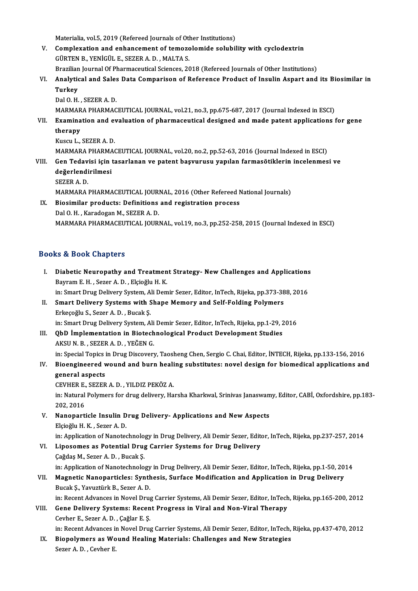Materialia, vol.5, 2019 (Refereed Journals of Other Institutions)<br>Complexation and ophaneoment of temesselemide ealuhil

- V. Complexation and enhancement of temozolomide solubility with cyclodextrin Materialia, vol.5, 2019 (Refereed Journals of Oth<br>Complexation and enhancement of temozo<br>GÜRTEN B., YENİGÜL E., SEZER A. D., MALTA S. Complexation and enhancement of temozolomide solubility with cyclodextrin<br>GÜRTEN B., YENİGÜL E., SEZER A. D., MALTA S.<br>Brazilian Journal Of Pharmaceutical Sciences, 2018 (Refereed Journals of Other Institutions)<br>Analytiaal
- VI. Analytical and Sales Data Comparison of Reference Product of Insulin Aspart and its Biosimilar in Brazilian<br><mark>Analytio</mark><br>Turkey

Dal O.H., SEZER A.D.

Turkey<br>Dal O. H. , SEZER A. D.<br>MARMARA PHARMACEUTICAL JOURNAL, vol.21, no.3, pp.675-687, 2017 (Journal Indexed in ESCI)<br>Examination and avaluation of pharmaceutical decigned and made natent applications f

Dal O. H. , SEZER A. D.<br>MARMARA PHARMACEUTICAL JOURNAL, vol.21, no.3, pp.675-687, 2017 (Journal Indexed in ESCI)<br>VII. Examination and evaluation of pharmaceutical designed and made patent applications for gene<br>thereny MARMAR<br>Examina<br>therapy Examination and ever<br>therapy<br>Kuscu L., SEZER A. D.<br>MARMARA BUARMAG therapy<br>Kuscu L., SEZER A. D.<br>MARMARA PHARMACEUTICAL JOURNAL, vol.20, no.2, pp.52-63, 2016 (Journal Indexed in ESCI)

# Kuscu L., SEZER A. D.<br>MARMARA PHARMACEUTICAL JOURNAL, vol.20, no.2, pp.52-63, 2016 (Journal Indexed in ESCI)<br>VIII. Gen Tedavisi için tasarlanan ve patent başvurusu yapılan farmasötiklerin incelenmesi ve<br> MARMARA PHARMA<br>Gen Tedavisi için<br>değerlendirilmesi<br>SEZER A D **Gen Tedav<br>değerlendi<br>SEZER A. D.<br>MARMARA**

```
değerlendirilmesi<br>SEZER A. D.<br>MARMARA PHARMACEUTICAL JOURNAL, 2016 (Other Refereed National Journals)<br>Piosimilar products: Definitions and registration process
SEZER A. D.<br>MARMARA PHARMACEUTICAL JOURNAL, 2016 (Other Refereed I<br>IX. Biosimilar products: Definitions and registration process<br>Dal O. H. , Karadogan M., SEZER A. D.
```
# MARMARA PHARMACEUTICAL JOUR<br>Biosimilar products: Definitions<br>Dal O. H. , Karadogan M., SEZER A. D.<br>MARMARA PHARMACEUTICAL JOUR MARMARAPHARMACEUTICAL JOURNAL,vol.19,no.3,pp.252-258,2015 (Journal Indexed inESCI)

### Books&Book Chapters

ooks & Book Chapters<br>I. Diabetic Neuropathy and Treatment Strategy- New Challenges and Applications<br>Reygem F. H., Seger A. D., Fleieğlu H. K. Bayram E.H., Sezer A.D., Elçioğlu H.K.<br>Bayram E.H., Sezer A.D., Elçioğlu H.K.<br>in: Smart Drug Dolivery System, Ali Dem Diabetic Neuropathy and Treatment Strategy- New Challenges and Applications<br>Bayram E. H. , Sezer A. D. , Elçioğlu H. K.<br>in: Smart Drug Delivery System, Ali Demir Sezer, Editor, InTech, Rijeka, pp.373-388, 2016<br>Smart Delive Bayram E. H. , Sezer A. D. , Elçioğlu H. K.<br>in: Smart Drug Delivery System, Ali Demir Sezer, Editor, InTech, Rijeka, pp.373-38<br>II. Smart Delivery Systems with Shape Memory and Self-Folding Polymers<br>Erkesserly S. Sazar A. D in: Smart Drug Delivery System, Ali Demir Sezer, Editor, InTech, Rijeka, pp.373-388, 2016<br>Smart Delivery Systems with Shape Memory and Self-Folding Polymers<br>Erkeçoğlu S., Sezer A. D., Bucak Ş.<br>in: Smart Drug Delivery Syste Smart Delivery Systems with Shape Memory and Self-Folding Polymers<br>Erkeçoğlu S., Sezer A. D. , Bucak Ş.<br>in: Smart Drug Delivery System, Ali Demir Sezer, Editor, InTech, Rijeka, pp.1-29, 2016<br>ObD İmplementation in Biotechno Erkeçoğlu S., Sezer A. D. , Bucak Ş.<br>in: Smart Drug Delivery System, Ali Demir Sezer, Editor, InTech, Rijeka, pp.1-29, 2<br>III. QbD İmplementation in Biotechnological Product Development Studies in: Smart Drug Delivery System, Ali<br>QbD İmplementation in Biotech<br>AKSU N. B. , SEZER A. D. , YEĞEN G.<br>in: Special Teniss in Drug Discover AKSU N. B. , SEZER A. D. , YEĞEN G.<br>in: Special Topics in Drug Discovery, Taosheng Chen, Sergio C. Chai, Editor, İNTECH, Rijeka, pp.133-156, 2016 AKSU N. B. , SEZER A. D. , YEĞEN G.<br>In: Special Topics in Drug Discovery, Taosheng Chen, Sergio C. Chai, Editor, İNTECH, Rijeka, pp.133-156, 2016<br>IV. Bioengineered wound and burn healing substitutes: novel design for b in: Special Topics i<br>Bioengineered v<br>general aspects<br>CEVUED E. SEZER Bioengineered wound and burn heali<br>general aspects<br>CEVHER E., SEZER A. D. , YILDIZ PEKÖZ A.<br>in: Natural Bakunara for drug daliyary. Ha general aspects<br>CEVHER E., SEZER A. D. , YILDIZ PEKÖZ A.<br>in: Natural Polymers for drug delivery, Harsha Kharkwal, Srinivas Janaswamy, Editor, CABİ, Oxfordshire, pp.183-CEVHER E.,<br>in: Natural<br>202, 2016<br>Nanoparti

in: Natural Polymers for drug delivery, Harsha Kharkwal, Srinivas Janaswam<br>202, 2016<br>V. Nanoparticle Insulin Drug Delivery- Applications and New Aspects<br>Elsioğlu H.K. Seger A.D.

202, 2016<br>V. Nanoparticle Insulin Drug Delivery- Applications and New Aspects<br>Elçioğlu H. K. , Sezer A. D.

in: Application of Nanotechnology in Drug Delivery, Ali Demir Sezer, Editor, InTech, Rijeka, pp.237-257, 2014

Elçioğlu H. K., Sezer A. D.<br>in: Application of Nanotechnology in Drug Delivery, Ali Demir Sezer, Edite<br>VI. Liposomes as Potential Drug Carrier Systems for Drug Delivery in: Application of Nanotechnolo<br>Liposomes as Potential Drug<br>Çağdaş M., Sezer A. D. , Bucak Ş.<br>in: Application of Nanotechnolo Çağdaş M., Sezer A. D. , Bucak Ş.<br>in: Application of Nanotechnology in Drug Delivery, Ali Demir Sezer, Editor, InTech, Rijeka, pp.1-50, 2014 Cağdaş M., Sezer A. D. , Bucak Ş.<br>in: Application of Nanotechnology in Drug Delivery, Ali Demir Sezer, Editor, InTech, Rijeka, pp.1-50, 20<br>VII. Magnetic Nanoparticles: Synthesis, Surface Modification and Application in Dru

# in: Application of Nanotechnology<br>Magnetic Nanoparticles: Synth<br>Bucak Ş., Yavuztürk B., Sezer A. D.<br>in: Besent Advances in Novel Drug Magnetic Nanoparticles: Synthesis, Surface Modification and Application in Drug Delivery<br>Bucak Ş., Yavuztürk B., Sezer A. D.<br>in: Recent Advances in Novel Drug Carrier Systems, Ali Demir Sezer, Editor, InTech, Rijeka, pp.16

Bucak Ş., Yavuztürk B., Sezer A. D.<br>in: Recent Advances in Novel Drug Carrier Systems, Ali Demir Sezer, Editor, InTech<br>VIII. Gene Delivery Systems: Recent Progress in Viral and Non-Viral Therapy<br>Ceybon E. Sezen A. D. Ceğle in: Recent Advances in Novel Drug<br>Gene Delivery Systems: Recen<br>Cevher E., Sezer A. D. , Çağlar E. Ş.<br>in: Besent Advances in Novel Drug Gene Delivery Systems: Recent Progress in Viral and Non-Viral Therapy<br>Cevher E., Sezer A. D. , Çağlar E. Ş.<br>in: Recent Advances in Novel Drug Carrier Systems, Ali Demir Sezer, Editor, InTech, Rijeka, pp.437-470, 2012<br>Biona

Cevher E., Sezer A. D. , Çağlar E. Ş.<br>in: Recent Advances in Novel Drug Carrier Systems, Ali Demir Sezer, Editor, InTech,<br>IX. Biopolymers as Wound Healing Materials: Challenges and New Strategies<br>Serer A. D. Ceyber E.

in: Recent Advances ii<br>Biopolymers as Wo<br>Sezer A. D. , Cevher E.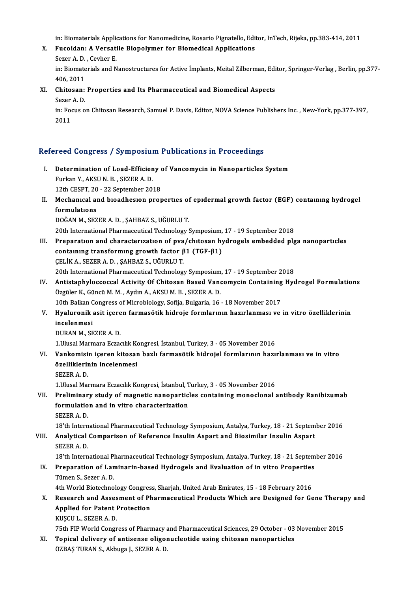in: Biomaterials Applications for Nanomedicine, Rosario Pignatello, Editor, InTech, Rijeka, pp.383-414, 2011<br>Eugeidan: A Venestile Biopolymer for Biomedical Applications

- in: Biomaterials Applications for Nanomedicine, Rosario Pignatello, Edit<br>X. Fucoidan: A Versatile Biopolymer for Biomedical Applications in: Biomaterials Applic<br>Fucoidan: A Versati<br>Sezer A. D. , Cevher E.<br>in: Biomaterials and N Fucoidan: A Versatile Biopolymer for Biomedical Applications<br>Sezer A. D. , Cevher E.<br>in: Biomaterials and Nanostructures for Active İmplants, Meital Zilberman, Editor, Springer-Verlag , Berlin, pp.377-Sezer A. D.<br>in: Biomate<br>406, 2011<br>Chitosan in: Biomaterials and Nanostructures for Active İmplants, Meital Zilberman, Edi<br>406, 2011<br>XI. Chitosan: Properties and Its Pharmaceutical and Biomedical Aspects<br>Serer A.D.
- 406, 2011<br>Chitosan:<br>Sezer A. D.<br>in: Fegus A
	- Sezer A D.

in: Focus on Chitosan Research, Samuel P. Davis, Editor, NOVA Science Publishers Inc. , New-York, pp.377-397,<br>2011

### Refereed Congress / Symposium Publications in Proceedings

efereed Congress / Symposium Publications in Proceedings<br>I. Determination of Load-Efficieny of Vancomycin in Nanoparticles System<br>Eurkan Y AKSUN B SEZERA D Furkan Y., AKSUN.B. Sezera.<br>Furkan Y., AKSUN.B., SEZER A.D.<br>12th CESPT.20, 22 Sontombor 20. Determination of Load-Efficieny<br>Furkan Y., AKSU N. B. , SEZER A. D.<br>12th CESPT, 20 - 22 September 2018<br>Mechanical and bioedhesian nuar Furkan Y., AKSU N. B. , SEZER A. D.<br>12th CESPT, 20 - 22 September 2018<br>II. Mechanical and bioadhesion properties of epidermal growth factor (EGF) containing hydrogel<br>formulations 12th CESPT, 20<br>Mechanical al<br>formulations<br>DOČAN M. SEZ Mechanical and bioadhesion properties of<br>formulations<br>DOĞAN M., SEZER A. D. , ŞAHBAZ S., UĞURLU T.<br>20th International Pharmaceutical Technology t formulations<br>DOĞAN M., SEZER A. D. , ŞAHBAZ S., UĞURLU T.<br>20th International Pharmaceutical Technology Symposium, 17 - 19 September 2018<br>Prenaration and characterystion of nya (chitasan hydrosals embedded ple

I DOĞAN M., SEZER A. D., ŞAHBAZ S., UĞURLU T.<br>20th International Pharmaceutical Technology Symposium, 17 - 19 September 2018<br>III. Preparation and characterization of pva/chitosan hydrogels embedded plga nanoparticles<br>cont 20th International Pharmaceutical Technology Symposium,<br>Preparation and characterization of pva/chitosan hy<br>containing transforming growth factor β1 (TGF-β1)<br>CELIK Δ SEZER Δ D SAHRAZ S HČURLUT ÇELİKA.,SEZERA.D. ,ŞAHBAZ S.,UĞURLUT.

20th International Pharmaceutical Technology Symposium, 17 - 19 September 2018

CELIK A., SEZER A. D., ŞAHBAZ S., UĞURLU T.<br>20th International Pharmaceutical Technology Symposium, 17 - 19 September 2018<br>IV. Antistaphyloccoccal Activity Of Chitosan Based Vancomycin Containing Hydrogel Formulations<br>Özgü 20th International Pharmaceutical Technology Symposium<br>Antistaphyloccoccal Activity Of Chitosan Based Vand<br>Özgüler K., Güncü M. M. , Aydın A., AKSU M. B. , SEZER A. D.<br>10th Balkan Congress of Migrobiology, Sofija, Bulgaria Antistaphyloccoccal Activity Of Chitosan Based Vancomycin Containing<br>Özgüler K., Güncü M. M. , Aydın A., AKSU M. B. , SEZER A. D.<br>10th Balkan Congress of Microbiology, Sofija, Bulgaria, 16 - 18 November 2017<br>Hyalunanik asi

Özgüler K., Güncü M. M. , Aydın A., AKSU M. B. , SEZER A. D.<br>10th Balkan Congress of Microbiology, Sofija, Bulgaria, 16 - 18 November 2017<br>V. Hyaluronik asit içeren farmasötik hidroje formlarının hazırlanması ve in vit 10th Balkan Congress of Microbiology, Sofija, Bulgaria, 16 - 18 November 2017<br>Hyaluronik asit içeren farmasötik hidroje formlarının hazırlanması ve<br>incelenmesi<br>DURAN M.. SEZER A. D. Hyaluronik asit içere<br>incelenmesi<br>DURAN M., SEZER A. D.<br>1 Ulucel Mermere Estac incelenmesi<br>DURAN M., SEZER A. D.<br>1.Ulusal Marmara Eczacılık Kongresi, İstanbul, Turkey, 3 - 05 November 2016<br>Venkemisin iseren kitasan bazlı farmasötik bidrojal farmlarının bazı:

DURAN M., SEZER A. D.<br>1.Ulusal Marmara Eczacılık Kongresi, İstanbul, Turkey, 3 - 05 November 2016<br>VI. Vankomisin içeren kitosan bazlı farmasötik hidrojel formlarının hazırlanması ve in vitro<br>Örelliklerinin inaslanması 1.Ulusal Marmara Eczacılık Ko<br>Vankomisin içeren kitosar<br>özelliklerinin incelenmesi<br>SEZEP A D Vankomisi<br>özelliklerin<br>SEZER A. D.<br>1 Ulucel Mer özelliklerinin incelenmesi<br>SEZER A. D.<br>1.Ulusal Marmara Eczacılık Kongresi, İstanbul, Turkey, 3 - 05 November 2016

SEZER A. D.<br>1.Ulusal Marmara Eczacılık Kongresi, İstanbul, Turkey, 3 - 05 November 2016<br>VII. Preliminary study of magnetic nanoparticles containing monoclonal antibody Ranibizumab<br>formulation and in vitre characterizat 1.Ulusal Marmara Eczacılık Kongresi, İstanbul, T<br>Preliminary study of magnetic nanopartic<br>formulation and in vitro characterization<br>SEZER A D Preliminar<br>formulatio<br>SEZER A. D.<br>19'th Intern 18'th International in Vitro characterization<br>18'th International Pharmaceutical Technology Symposium, Antalya, Turkey, 18 - 21 September 2016<br>18'th International Pharmaceutical Technology Symposium, Antalya, Turkey, 18 -

# SEZER A. D.<br>18'th International Pharmaceutical Technology Symposium, Antalya, Turkey, 18 - 21 Septem<br>VIII. Analytical Comparison of Reference Insulin Aspart and Biosimilar Insulin Aspart<br>SEZER A. D. 18'th Intern<br>**Analytical**<br>SEZER A. D.<br>19'th Intern Analytical Comparison of Reference Insulin Aspart and Biosimilar Insulin Aspart<br>SEZER A. D.<br>18'th International Pharmaceutical Technology Symposium, Antalya, Turkey, 18 - 21 September 2016<br>Preparation of Laminarin based Hy

# SEZER A. D.<br>18'th International Pharmaceutical Technology Symposium, Antalya, Turkey, 18 - 21 Septem<br>IX. Preparation of Laminarin-based Hydrogels and Evaluation of in vitro Properties<br>Tümer S. Sezer A. D. 18'th International Pl<br>Preparation of Lan<br>Tümen S., Sezer A. D.<br>4th World Bistashne Preparation of Laminarin-based Hydrogels and Evaluation of in vitro Properties<br>Tümen S., Sezer A. D.<br>4th World Biotechnology Congress, Sharjah, United Arab Emirates, 15 - 18 February 2016<br>Besearsh and Assesment of Pharmase

# Tümen S., Sezer A. D.<br>4th World Biotechnology Congress, Sharjah, United Arab Emirates, 15 - 18 February 2016<br>X. Research and Assesment of Pharmaceutical Products Which are Designed for Gene Therapy and<br>Annlied for Petent P 4th World Biotechnology Congress, Sharjah, United Arab Emirates, 15 - 18 February 2016<br>Research and Assesment of Pharmaceutical Products Which are Designed for Gon<br>Applied for Patent Protection<br>KUSCU L., SEZER A. D. Research and Asses<br>Applied for Patent I<br>KUŞCU L., SEZER A. D.<br>75th EIB World Congr

75th FIP World Congress of Pharmacy and Pharmaceutical Sciences, 29 October - 03 November 2015

KUŞCU L., SEZER A. D.<br>75th FIP World Congress of Pharmacy and Pharmaceutical Sciences, 29 October - 03<br>XI. Topical delivery of antisense oligonucleotide using chitosan nanoparticles<br>87RAS TURAN S. Althuga L. SEZER A. D 75th FIP World Congress of Pharmacy a<br><mark>Topical delivery of antisense oligor</mark><br>ÖZBAŞ TURAN S., Akbuga J., SEZER A. D.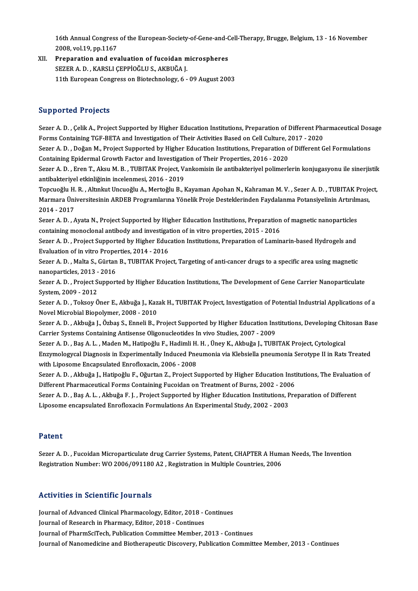16th Annual Congress of the European-Society-of-Gene-and-Cell-Therapy, Brugge, Belgium, 13 - 16 November<br>2008, val.10, pp.1167 16th Annual Congress<br>2008, vol.19, pp.1167<br>Preperation and eva

2008, vol.19, pp.1167<br>XII. Preparation and evaluation of fucoidan microspheres SEZERA.D. ,KARSLIÇEPPİOĞLUS.,AKBUĞAJ. 11th European Congress on Biotechnology, 6 - 09 August 2003

#### Supported Projects

Supported Projects<br>Sezer A.D. , Çelik A., Project Supported by Higher Education Institutions, Preparation of Different Pharmaceutical Dosage<br>Forme Containing TCE BETA and Investigation of Their Activities Besed on Cell Cul σα με το στους τους τους τους διαφορείος.<br>Sezer A. D. , Çelik A., Project Supported by Higher Education Institutions, Preparation of Different Pha<br>Forms Containing TGF-BETA and Investigation of Their Activities Based on C Sezer A. D. , Çelik A., Project Supported by Higher Education Institutions, Preparation of Different Pharmaceutical Dos<br>Forms Containing TGF-BETA and Investigation of Their Activities Based on Cell Culture, 2017 - 2020<br>Sez

Forms Containing TGF-BETA and Investigation of Their Activities Based on Cell Culture, 2<br>Sezer A. D. , Doğan M., Project Supported by Higher Education Institutions, Preparation o<br>Containing Epidermal Growth Factor and Inve Sezer A. D. , Doğan M., Project Supported by Higher Education Institutions, Preparation of Different Gel Formulations<br>Containing Epidermal Growth Factor and Investigation of Their Properties, 2016 - 2020<br>Sezer A. D. , Eren

Containing Epidermal Growth Factor and Investigati<br>Sezer A. D. , Eren T., Aksu M. B. , TUBITAK Project, V.<br>antibakteriyel etkinliğinin incelenmesi, 2016 - 2019<br>Tengueğlu H. B. , Altınlut Ungueğlu A. Merteğlu B. I Sezer A. D. , Eren T., Aksu M. B. , TUBITAK Project, Vankomisin ile antibakteriyel polimerlerin konjugasyonu ile sinerjistik<br>antibakteriyel etkinliğinin incelenmesi, 2016 - 2019<br>Topcuoğlu H. R. , Altınkut Uncuoğlu A., Mert

antibakteriyel etkinliğinin incelenmesi, 2016 - 2019<br>Topcuoğlu H. R. , Altınkut Uncuoğlu A., Mertoğlu B., Kayaman Apohan N., Kahraman M. V. , Sezer A. D. , TUBITAK Project,<br>Marmara Üniversitesinin ARDEB Programlarına Yönel Topcuoğlu H.<br>Marmara Üni<br>2014 - 2017<br>Serer A. D. Marmara Üniversitesinin ARDEB Programlarına Yönelik Proje Desteklerinden Faydalanma Potansiyelinin Artırılm<br>2014 - 2017<br>Sezer A. D. , Ayata N., Project Supported by Higher Education Institutions, Preparation of magnetic na

Sezer A. D., Ayata N., Project Supported by Higher Education Institutions, Preparation of magnetic nanoparticles<br>containing monoclonal antibody and investigation of in vitro properties, 2015 - 2016 Sezer A. D. , Ayata N., Project Supported by Higher Education Institutions, Preparation of magnetic nanoparticles<br>containing monoclonal antibody and investigation of in vitro properties, 2015 - 2016<br>Sezer A. D. , Project S

Containing monoclonal antibody and investigated Sezer A.D., Project Supported by Higher Educ<br>Evaluation of in vitro Properties, 2014 - 2016<br>Sezer A.D., Malta S. Gürtan B., TUBITAK Broje Sezer A. D. , Project Supported by Higher Education Institutions, Preparation of Laminarin-based Hydrogels and<br>Evaluation of in vitro Properties, 2014 - 2016<br>Sezer A. D. , Malta S., Gürtan B., TUBITAK Project, Targeting of

Evaluation of in vitro Prope<br>Sezer A. D. , Malta S., Gürtan<br>nanoparticles, 2013 - 2016<br>Sezer A. D. - Breject Support Sezer A. D. , Malta S., Gürtan B., TUBITAK Project, Targeting of anti-cancer drugs to a specific area using magnetic<br>nanoparticles, 2013 - 2016<br>Sezer A. D. , Project Supported by Higher Education Institutions, The Developm

nanoparticles, 2013 -<br>Sezer A. D. , Project S<br>System, 2009 - 2012<br>Sezer A. D. , Teksey Ö Sezer A. D. , Project Supported by Higher Education Institutions, The Development of Gene Carrier Nanoparticulate<br>System, 2009 - 2012<br>Sezer A. D. , Toksoy Öner E., Akbuğa J., Kazak H., TUBITAK Project, Investigation of Pot

System, 2009 - 2012<br>Sezer A. D. , Toksoy Öner E., Akbuğa J., Kaz<br>Novel Microbial Biopolymer, 2008 - 2010<br>Sezer A. D. , Althuğa L. Özbes S. Enneli B. E Sezer A. D. , Toksoy Öner E., Akbuğa J., Kazak H., TUBITAK Project, Investigation of Potential Industrial Applications of a<br>Novel Microbial Biopolymer, 2008 - 2010<br>Sezer A. D. , Akbuğa J., Özbaş S., Enneli B., Project Supp

Novel Microbial Biopolymer, 2008 - 2010<br>Sezer A. D. , Akbuğa J., Özbaş S., Enneli B., Project Supported by Higher Education In:<br>Carrier Systems Containing Antisense Oligonucleotides In vivo Studies, 2007 - 2009 Sezer A.D., Akbuğa J., Özbaş S., Enneli B., Project Supported by Higher Education Institutions, Developing Chitosan Base

Enzymologycal Diagnosis in Experimentally Induced Pneumonia via Klebsiella pneumonia Serotype II in Rats Treated<br>with Liposome Encapsulated Enrofloxacin, 2006 - 2008 Sezer A. D., Baş A. L., Maden M., Hatipoğlu F., Hadimli H. H., Üney K., Akbuğa J., TUBITAK Project, Cytological Enzymologycal Diagnosis in Experimentally Induced Pneumonia via Klebsiella pneumonia Serotype II in Rats Treated<br>with Liposome Encapsulated Enrofloxacin, 2006 - 2008<br>Sezer A. D. , Akbuğa J., Hatipoğlu F., Oğurtan Z., Proje

with Liposome Encapsulated Enrofloxacin, 2006 - 2008<br>Sezer A. D. , Akbuğa J., Hatipoğlu F., Oğurtan Z., Project Supported by Higher Education Inst<br>Different Pharmaceutical Forms Containing Fucoidan on Treatment of Burns, 2 Sezer A. D. , Akbuğa J., Hatipoğlu F., Oğurtan Z., Project Supported by Higher Education Institutions, The Evaluatio<br>Different Pharmaceutical Forms Containing Fucoidan on Treatment of Burns, 2002 - 2006<br>Sezer A. D. , Baş A

Different Pharmaceutical Forms Containing Fucoidan on Treatment of Burns, 2002 - 200<br>Sezer A. D. , Baş A. L. , Akbuğa F. J. , Project Supported by Higher Education Institutions, P<br>Liposome encapsulated Enrofloxacin Formula Liposome encapsulated Enrofloxacin Formulations An Experimental Study, 2002 - 2003<br>Patent

Sezer A.D., Fucoidan Microparticulate drug Carrier Systems, Patent, CHAPTER A Human Needs, The Invention Registration Number: WO 2006/091180 A2, Registration in Multiple Countries, 2006

#### Activities in Scientific Journals

Activities in Scientific Journals<br>Journal of Advanced Clinical Pharmacology, Editor, 2018 - Continues<br>Journal of Bessarsh in Pharmagy, Editor, 2018 - Continues Journal of Advanced Clinical Pharmacology, Editor, 2018 - (<br>Journal of Research in Pharmacy, Editor, 2018 - Continues<br>Journal of PharmSciToch, Publication Committee Momber Journal of Research in Pharmacy, Editor, 2018 - Continues<br>Journal of PharmSciTech, Publication Committee Member, 2013 - Continues Journal of Nanomedicine and Biotherapeutic Discovery, Publication Committee Member, 2013 - Continues